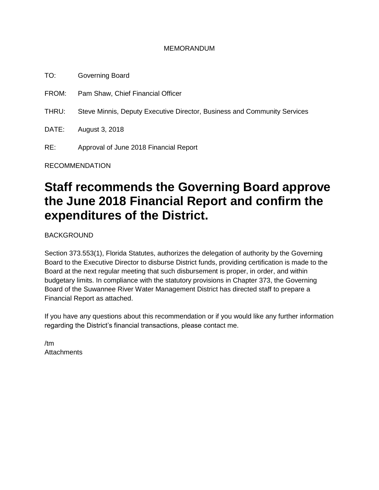### MEMORANDUM

TO: Governing Board FROM: Pam Shaw, Chief Financial Officer

THRU: Steve Minnis, Deputy Executive Director, Business and Community Services

DATE: August 3, 2018

RE: Approval of June 2018 Financial Report

RECOMMENDATION

# **Staff recommends the Governing Board approve the June 2018 Financial Report and confirm the expenditures of the District.**

BACKGROUND

Section 373.553(1), Florida Statutes, authorizes the delegation of authority by the Governing Board to the Executive Director to disburse District funds, providing certification is made to the Board at the next regular meeting that such disbursement is proper, in order, and within budgetary limits. In compliance with the statutory provisions in Chapter 373, the Governing Board of the Suwannee River Water Management District has directed staff to prepare a Financial Report as attached.

If you have any questions about this recommendation or if you would like any further information regarding the District's financial transactions, please contact me.

/tm **Attachments**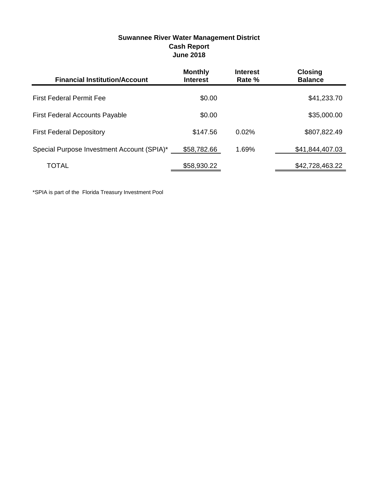| <b>Financial Institution/Account</b>       | <b>Monthly</b><br><b>Interest</b> | <b>Interest</b><br>Rate % | <b>Closing</b><br><b>Balance</b> |
|--------------------------------------------|-----------------------------------|---------------------------|----------------------------------|
| <b>First Federal Permit Fee</b>            | \$0.00                            |                           | \$41,233.70                      |
| <b>First Federal Accounts Payable</b>      | \$0.00                            |                           | \$35,000.00                      |
| <b>First Federal Depository</b>            | \$147.56                          | $0.02\%$                  | \$807,822.49                     |
| Special Purpose Investment Account (SPIA)* | \$58,782.66                       | 1.69%                     | \$41,844,407.03                  |
| TOTAL                                      | \$58,930.22                       |                           | \$42,728,463.22                  |

## **Suwannee River Water Management District Cash Report June 2018**

\*SPIA is part of the Florida Treasury Investment Pool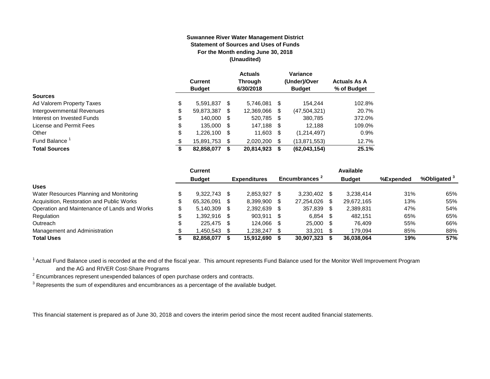#### **Suwannee River Water Management District Statement of Sources and Uses of Funds For the Month ending June 30, 2018 (Unaudited)**

|                            | <b>Current</b><br><b>Budget</b> |     | <b>Actuals</b><br><b>Through</b><br>6/30/2018 |      | Variance<br>(Under)/Over<br><b>Budget</b> | <b>Actuals As A</b><br>% of Budget |
|----------------------------|---------------------------------|-----|-----------------------------------------------|------|-------------------------------------------|------------------------------------|
| <b>Sources</b>             |                                 |     |                                               |      |                                           |                                    |
| Ad Valorem Property Taxes  | \$<br>5,591,837                 | S   | 5.746.081                                     | - \$ | 154.244                                   | 102.8%                             |
| Intergovernmental Revenues | \$<br>59,873,387                | \$. | 12,369,066                                    | S    | (47, 504, 321)                            | 20.7%                              |
| Interest on Invested Funds | \$<br>140,000 \$                |     | 520,785 \$                                    |      | 380.785                                   | 372.0%                             |
| License and Permit Fees    | \$<br>135,000 \$                |     | 147,188 \$                                    |      | 12.188                                    | 109.0%                             |
| Other                      | \$<br>1,226,100                 | S   | 11,603                                        | - \$ | (1,214,497)                               | 0.9%                               |
| Fund Balance               | \$<br>15,891,753                | S   | 2.020.200                                     | \$.  | (13, 871, 553)                            | 12.7%                              |
| <b>Total Sources</b>       | \$<br>82,858,077                |     | 20,814,923                                    |      | (62,043,154)                              | 25.1%                              |

|                                              | <b>Current</b> |      |                     |      |                           |      | Available     |           |                         |
|----------------------------------------------|----------------|------|---------------------|------|---------------------------|------|---------------|-----------|-------------------------|
|                                              | <b>Budget</b>  |      | <b>Expenditures</b> |      | Encumbrances <sup>2</sup> |      | <b>Budget</b> | %Expended | %Obligated <sup>3</sup> |
| <b>Uses</b>                                  |                |      |                     |      |                           |      |               |           |                         |
| Water Resources Planning and Monitoring      | 9.322.743      | - \$ | 2.853.927           |      | 3.230.402                 |      | 3,238,414     | 31%       | 65%                     |
| Acquisition, Restoration and Public Works    | 65,326,091     | - \$ | 8,399,900           |      | 27,254,026                | \$.  | 29,672,165    | 13%       | 55%                     |
| Operation and Maintenance of Lands and Works | 5.140.309      | - \$ | 2,392,639           |      | 357,839                   | -SS  | 2,389,831     | 47%       | 54%                     |
| Regulation                                   | 1.392.916 \$   |      | 903,911             | - \$ | 6,854                     | - \$ | 482.151       | 65%       | 65%                     |
| Outreach                                     | 225.475 \$     |      | 124.066             | -S   | 25,000 \$                 |      | 76.409        | 55%       | 66%                     |
| Management and Administration                | .450.543       |      | ,238,247            |      | 33,201                    |      | 179.094       | 85%       | 88%                     |
| <b>Total Uses</b>                            | 82,858,077     |      | 15,912,690          |      | 30,907,323                |      | 36,038,064    | 19%       | 57%                     |

 $1$  Actual Fund Balance used is recorded at the end of the fiscal year. This amount represents Fund Balance used for the Monitor Well Improvement Program and the AG and RIVER Cost-Share Programs

 $2$  Encumbrances represent unexpended balances of open purchase orders and contracts.

 $3$  Represents the sum of expenditures and encumbrances as a percentage of the available budget.

This financial statement is prepared as of June 30, 2018 and covers the interim period since the most recent audited financial statements.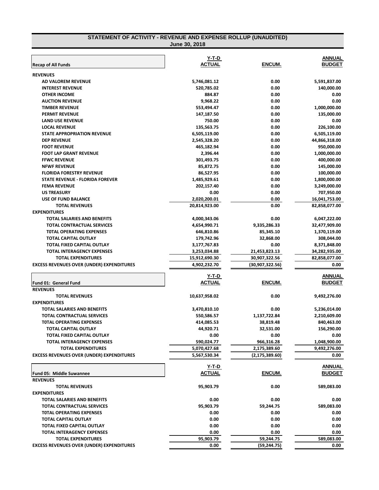#### **STATEMENT OF ACTIVITY - REVENUE AND EXPENSE ROLLUP (UNAUDITED) June 30, 2018**

|                                                  | Y-T-D         |                  | <b>ANNUAL</b> |
|--------------------------------------------------|---------------|------------------|---------------|
| <b>Recap of All Funds</b>                        | <b>ACTUAL</b> | ENCUM.           | <b>BUDGET</b> |
| <b>REVENUES</b>                                  |               |                  |               |
| AD VALOREM REVENUE                               | 5,746,081.12  | 0.00             | 5,591,837.00  |
| <b>INTEREST REVENUE</b>                          | 520,785.02    | 0.00             | 140,000.00    |
| <b>OTHER INCOME</b>                              | 884.87        | 0.00             | 0.00          |
| <b>AUCTION REVENUE</b>                           | 9,968.22      | 0.00             | 0.00          |
| <b>TIMBER REVENUE</b>                            | 553,494.47    | 0.00             | 1,000,000.00  |
| <b>PERMIT REVENUE</b>                            | 147,187.50    | 0.00             | 135,000.00    |
| <b>LAND USE REVENUE</b>                          | 750.00        | 0.00             | 0.00          |
| <b>LOCAL REVENUE</b>                             | 135,563.75    | 0.00             | 226,100.00    |
| <b>STATE APPROPRIATION REVENUE</b>               | 6,505,119.00  | 0.00             | 6,505,119.00  |
| <b>DEP REVENUE</b>                               | 2,545,328.20  | 0.00             | 44,866,318.00 |
| <b>FDOT REVENUE</b>                              | 465,182.94    | 0.00             | 950,000.00    |
| <b>FDOT LAP GRANT REVENUE</b>                    | 2,396.44      | 0.00             | 1,000,000.00  |
| <b>FFWC REVENUE</b>                              | 301,493.75    | 0.00             | 400,000.00    |
| <b>NFWF REVENUE</b>                              | 85,872.75     | 0.00             | 145,000.00    |
| <b>FLORIDA FORESTRY REVENUE</b>                  | 86,527.95     | 0.00             | 100,000.00    |
| STATE REVENUE - FLORIDA FOREVER                  | 1,485,929.61  | 0.00             | 1,800,000.00  |
| <b>FEMA REVENUE</b>                              | 202,157.40    | 0.00             | 3,249,000.00  |
| <b>US TREASURY</b>                               | 0.00          | 0.00             | 707,950.00    |
| <b>USE OF FUND BALANCE</b>                       | 2,020,200.01  | 0.00             | 16,041,753.00 |
| <b>TOTAL REVENUES</b>                            | 20,814,923.00 | 0.00             | 82,858,077.00 |
| <b>EXPENDITURES</b>                              |               |                  |               |
| TOTAL SALARIES AND BENEFITS                      | 4,000,343.06  | 0.00             | 6,047,222.00  |
| <b>TOTAL CONTRACTUAL SERVICES</b>                | 4,654,990.71  | 9,335,286.33     | 32,477,909.00 |
| <b>TOTAL OPERATING EXPENSES</b>                  | 646,810.86    | 85,345.10        | 1,370,119.00  |
| TOTAL CAPITAL OUTLAY                             | 179,742.96    | 32,868.00        | 308,044.00    |
| TOTAL FIXED CAPITAL OUTLAY                       | 3,177,767.83  | 0.00             | 8,371,848.00  |
| TOTAL INTERAGENCY EXPENSES                       | 3,253,034.88  | 21,453,823.13    | 34,282,935.00 |
| <b>TOTAL EXPENDITURES</b>                        | 15,912,690.30 | 30,907,322.56    | 82,858,077.00 |
| <b>EXCESS REVENUES OVER (UNDER) EXPENDITURES</b> | 4,902,232.70  | (30,907,322.56)  | 0.00          |
|                                                  | Y-T-D         |                  | <b>ANNUAL</b> |
| Fund 01: General Fund                            | <b>ACTUAL</b> | ENCUM.           | <b>BUDGET</b> |
| <b>REVENUES</b>                                  |               |                  |               |
| <b>TOTAL REVENUES</b>                            | 10,637,958.02 | 0.00             | 9,492,276.00  |
| <b>EXPENDITURES</b>                              |               |                  |               |
| TOTAL SALARIES AND BENEFITS                      | 3,470,810.10  | 0.00             | 5,236,014.00  |
| <b>TOTAL CONTRACTUAL SERVICES</b>                | 550,586.57    | 1,137,722.84     | 2,210,609.00  |
| <b>TOTAL OPERATING EXPENSES</b>                  | 414,085.53    | 38,819.48        | 840,463.00    |
| TOTAL CAPITAL OUTLAY                             | 44,920.71     | 32,531.00        | 156,290.00    |
| TOTAL FIXED CAPITAL OUTLAY                       | 0.00          | 0.00             | 0.00          |
| TOTAL INTERAGENCY EXPENSES                       | 590,024.77    | 966,316.28       | 1,048,900.00  |
| <b>TOTAL EXPENDITURES</b>                        | 5,070,427.68  | 2,175,389.60     | 9,492,276.00  |
| <b>EXCESS REVENUES OVER (UNDER) EXPENDITURES</b> | 5,567,530.34  | (2, 175, 389.60) | 0.00          |
|                                                  |               |                  |               |
|                                                  | <u>Y-T-D</u>  | ENCUM.           | <b>ANNUAL</b> |
| <b>Fund 05: Middle Suwannee</b>                  | <b>ACTUAL</b> |                  | <b>BUDGET</b> |
| <b>REVENUES</b>                                  |               |                  |               |
| <b>TOTAL REVENUES</b>                            | 95,903.79     | 0.00             | 589,083.00    |
| <b>EXPENDITURES</b>                              |               |                  |               |
| <b>TOTAL SALARIES AND BENEFITS</b>               | 0.00          | 0.00             | 0.00          |
| <b>TOTAL CONTRACTUAL SERVICES</b>                | 95,903.79     | 59,244.75        | 589,083.00    |
| <b>TOTAL OPERATING EXPENSES</b>                  | 0.00          | 0.00             | 0.00          |
| TOTAL CAPITAL OUTLAY                             | 0.00          | 0.00             | 0.00          |
| TOTAL FIXED CAPITAL OUTLAY                       | 0.00          | 0.00             | 0.00          |
| <b>TOTAL INTERAGENCY EXPENSES</b>                | 0.00          | 0.00             | 0.00          |
| <b>TOTAL EXPENDITURES</b>                        | 95,903.79     | 59,244.75        | 589,083.00    |
| <b>EXCESS REVENUES OVER (UNDER) EXPENDITURES</b> | 0.00          | (59,244.75)      | 0.00          |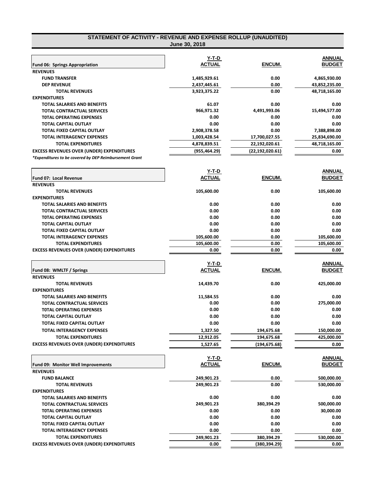| STATEMENT OF ACTIVITY - REVENUE AND EXPENSE ROLLUP (UNAUDITED) |                               |                   |                                |
|----------------------------------------------------------------|-------------------------------|-------------------|--------------------------------|
|                                                                | June 30, 2018                 |                   |                                |
|                                                                | Y-T-D                         |                   | ANNUAL                         |
| <b>Fund 06: Springs Appropriation</b>                          | <b>ACTUAL</b>                 | ENCUM.            | <b>BUDGET</b>                  |
| <b>REVENUES</b>                                                |                               |                   |                                |
| <b>FUND TRANSFER</b>                                           | 1,485,929.61                  | 0.00              | 4,865,930.00                   |
| <b>DEP REVENUE</b>                                             | 2,437,445.61                  | 0.00              | 43,852,235.00                  |
| <b>TOTAL REVENUES</b>                                          | 3,923,375.22                  | 0.00              | 48,718,165.00                  |
| <b>EXPENDITURES</b>                                            |                               |                   |                                |
| TOTAL SALARIES AND BENEFITS                                    | 61.07                         | 0.00              | 0.00                           |
| <b>TOTAL CONTRACTUAL SERVICES</b>                              | 966,971.32                    | 4,491,993.06      | 15,494,577.00                  |
| <b>TOTAL OPERATING EXPENSES</b>                                | 0.00                          | 0.00              | 0.00                           |
| TOTAL CAPITAL OUTLAY                                           | 0.00                          | 0.00              | 0.00                           |
| TOTAL FIXED CAPITAL OUTLAY                                     | 2,908,378.58                  | 0.00              | 7,388,898.00                   |
| <b>TOTAL INTERAGENCY EXPENSES</b>                              | 1,003,428.54                  | 17,700,027.55     | 25,834,690.00                  |
| <b>TOTAL EXPENDITURES</b>                                      | 4,878,839.51                  | 22,192,020.61     | 48,718,165.00                  |
| <b>EXCESS REVENUES OVER (UNDER) EXPENDITURES</b>               | (955, 464.29)                 | (22, 192, 020.61) | 0.00                           |
| *Expenditures to be covered by DEP Reimbursement Grant         |                               |                   |                                |
|                                                                |                               |                   |                                |
|                                                                | <u>Y-T-D</u><br><b>ACTUAL</b> | ENCUM.            | <u>ANNUAL</u><br><b>BUDGET</b> |
| <b>Fund 07: Local Revenue</b>                                  |                               |                   |                                |
| <b>REVENUES</b>                                                |                               |                   |                                |
| <b>TOTAL REVENUES</b>                                          | 105,600.00                    | 0.00              | 105,600.00                     |
| <b>EXPENDITURES</b>                                            |                               |                   |                                |
| TOTAL SALARIES AND BENEFITS                                    | 0.00                          | 0.00              | 0.00                           |
| TOTAL CONTRACTUAL SERVICES                                     | 0.00                          | 0.00              | 0.00                           |
| <b>TOTAL OPERATING EXPENSES</b>                                | 0.00                          | 0.00              | 0.00                           |
| <b>TOTAL CAPITAL OUTLAY</b>                                    | 0.00                          | 0.00              | 0.00                           |
| TOTAL FIXED CAPITAL OUTLAY                                     | 0.00                          | 0.00              | 0.00                           |
| <b>TOTAL INTERAGENCY EXPENSES</b>                              | 105,600.00                    | 0.00              | 105,600.00                     |
| <b>TOTAL EXPENDITURES</b>                                      | 105,600.00                    | 0.00              | 105,600.00                     |
| <b>EXCESS REVENUES OVER (UNDER) EXPENDITURES</b>               | 0.00                          | 0.00              | 0.00                           |
|                                                                | Y-T-D                         |                   | ANNUAL                         |
| Fund 08: WMLTF / Springs                                       | <b>ACTUAL</b>                 | ENCUM.            | <b>BUDGET</b>                  |
| <b>REVENUES</b>                                                |                               |                   |                                |
| <b>TOTAL REVENUES</b>                                          | 14,439.70                     | 0.00              | 425,000.00                     |
| <b>EXPENDITURES</b>                                            |                               |                   |                                |
| <b>TOTAL SALARIES AND BENEFITS</b>                             | 11,584.55                     | 0.00              | 0.00                           |
| <b>TOTAL CONTRACTUAL SERVICES</b>                              | 0.00                          | 0.00              | 275,000.00                     |
| TOTAL OPERATING EXPENSES                                       | 0.00                          | 0.00              | 0.00                           |
| TOTAL CAPITAL OUTLAY                                           | 0.00                          | 0.00              | 0.00                           |
| TOTAL FIXED CAPITAL OUTLAY                                     | 0.00                          | 0.00              | 0.00                           |
| <b>TOTAL INTERAGENCY EXPENSES</b>                              | 1,327.50                      | 194,675.68        | 150,000.00                     |
| <b>TOTAL EXPENDITURES</b>                                      | 12,912.05                     | 194,675.68        | 425,000.00                     |
| <b>EXCESS REVENUES OVER (UNDER) EXPENDITURES</b>               | 1,527.65                      | (194,675.68)      | 0.00                           |
|                                                                |                               |                   |                                |
|                                                                | Y-T-D                         |                   | <b>ANNUAL</b>                  |
| <b>Fund 09: Monitor Well Improvements</b>                      | <b>ACTUAL</b>                 | ENCUM.            | <b>BUDGET</b>                  |
| <b>REVENUES</b>                                                |                               |                   |                                |
| <b>FUND BALANCE</b>                                            | 249,901.23                    | 0.00              | 500,000.00                     |
| <b>TOTAL REVENUES</b>                                          | 249,901.23                    | 0.00              | 530,000.00                     |
| <b>EXPENDITURES</b>                                            |                               |                   |                                |
| TOTAL SALARIES AND BENEFITS                                    | 0.00                          | 0.00              | 0.00                           |
| TOTAL CONTRACTUAL SERVICES                                     | 249,901.23                    | 380,394.29        | 500,000.00                     |
| <b>TOTAL OPERATING EXPENSES</b>                                | 0.00                          | 0.00              | 30,000.00                      |
| <b>TOTAL CAPITAL OUTLAY</b>                                    | 0.00                          | 0.00              | 0.00                           |
| TOTAL FIXED CAPITAL OUTLAY                                     | 0.00                          | 0.00              | 0.00                           |
| <b>TOTAL INTERAGENCY EXPENSES</b>                              | 0.00                          | 0.00              | 0.00                           |
| <b>TOTAL EXPENDITURES</b>                                      | 249,901.23                    | 380,394.29        | 530,000.00                     |
| <b>EXCESS REVENUES OVER (UNDER) EXPENDITURES</b>               | 0.00                          | (380,394.29)      | 0.00                           |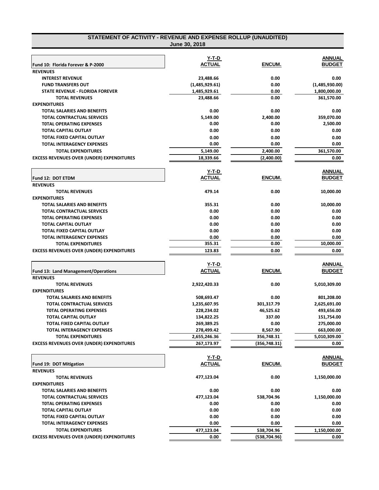| STATEMENT OF ACTIVITY - REVENUE AND EXPENSE ROLLUP (UNAUDITED) |
|----------------------------------------------------------------|
| <b>June 30, 2018</b>                                           |

| Fund 10: Florida Forever & P-2000                        | Y-T-D<br><b>ACTUAL</b>     | <b>ENCUM.</b>          | <b>ANNUAL</b><br><b>BUDGET</b> |
|----------------------------------------------------------|----------------------------|------------------------|--------------------------------|
| <b>REVENUES</b>                                          |                            |                        |                                |
| <b>INTEREST REVENUE</b>                                  | 23,488.66                  | 0.00                   | 0.00                           |
| <b>FUND TRANSFERS OUT</b>                                | (1,485,929.61)             | 0.00                   | (1,485,930.00)                 |
| STATE REVENUE - FLORIDA FOREVER                          | 1,485,929.61               | 0.00                   | 1,800,000.00                   |
| <b>TOTAL REVENUES</b>                                    | 23,488.66                  | 0.00                   | 361,570.00                     |
| <b>EXPENDITURES</b>                                      |                            |                        |                                |
| TOTAL SALARIES AND BENEFITS                              | 0.00                       | 0.00                   | 0.00                           |
| TOTAL CONTRACTUAL SERVICES                               | 5,149.00                   | 2,400.00               | 359,070.00                     |
| <b>TOTAL OPERATING EXPENSES</b>                          | 0.00                       | 0.00                   | 2,500.00                       |
| <b>TOTAL CAPITAL OUTLAY</b>                              | 0.00                       | 0.00                   | 0.00                           |
| TOTAL FIXED CAPITAL OUTLAY                               | 0.00                       | 0.00                   | 0.00                           |
| <b>TOTAL INTERAGENCY EXPENSES</b>                        | 0.00                       | 0.00                   | 0.00                           |
| <b>TOTAL EXPENDITURES</b>                                | 5,149.00                   | 2,400.00               | 361,570.00                     |
| <b>EXCESS REVENUES OVER (UNDER) EXPENDITURES</b>         | 18,339.66                  | (2,400.00)             | 0.00                           |
|                                                          |                            |                        |                                |
|                                                          | Y-T-D                      |                        | <b>ANNUAL</b>                  |
| Fund 12: DOT ETDM                                        | <b>ACTUAL</b>              | <b>ENCUM.</b>          | <b>BUDGET</b>                  |
| <b>REVENUES</b>                                          |                            |                        |                                |
| <b>TOTAL REVENUES</b>                                    | 479.14                     | 0.00                   | 10,000.00                      |
| <b>EXPENDITURES</b>                                      |                            |                        |                                |
| TOTAL SALARIES AND BENEFITS                              | 355.31                     | 0.00                   | 10,000.00                      |
| TOTAL CONTRACTUAL SERVICES                               | 0.00                       | 0.00                   | 0.00                           |
| <b>TOTAL OPERATING EXPENSES</b>                          | 0.00                       | 0.00                   | 0.00                           |
| <b>TOTAL CAPITAL OUTLAY</b>                              | 0.00                       | 0.00                   | 0.00                           |
| TOTAL FIXED CAPITAL OUTLAY                               | 0.00                       | 0.00                   | 0.00                           |
| <b>TOTAL INTERAGENCY EXPENSES</b>                        | 0.00                       | 0.00                   | 0.00                           |
| <b>TOTAL EXPENDITURES</b>                                | 355.31                     | 0.00                   | 10,000.00                      |
| <b>EXCESS REVENUES OVER (UNDER) EXPENDITURES</b>         | 123.83                     | 0.00                   | 0.00                           |
|                                                          |                            |                        |                                |
|                                                          | <u>Y-T-D</u>               |                        | <b>ANNUAL</b>                  |
| <b>Fund 13: Land Management/Operations</b>               | <b>ACTUAL</b>              | ENCUM.                 | <b>BUDGET</b>                  |
| <b>REVENUES</b>                                          |                            |                        |                                |
| <b>TOTAL REVENUES</b>                                    | 2,922,420.33               | 0.00                   | 5,010,309.00                   |
| <b>EXPENDITURES</b>                                      |                            |                        |                                |
| <b>TOTAL SALARIES AND BENEFITS</b>                       | 508,693.47                 | 0.00                   | 801,208.00                     |
| <b>TOTAL CONTRACTUAL SERVICES</b>                        | 1,235,607.95               | 301,317.79             | 2,625,691.00                   |
| <b>TOTAL OPERATING EXPENSES</b>                          | 228,234.02                 | 46,525.62              | 493,656.00                     |
| <b>TOTAL CAPITAL OUTLAY</b>                              | 134,822.25                 | 337.00                 | 151,754.00                     |
| TOTAL FIXED CAPITAL OUTLAY<br>TOTAL INTERAGENCY EXPENSES | 269,389.25                 | 0.00                   | 275,000.00                     |
| <b>TOTAL EXPENDITURES</b>                                | 278,499.42<br>2,655,246.36 | 8,567.90<br>356,748.31 | 663,000.00<br>5,010,309.00     |
| <b>EXCESS REVENUES OVER (UNDER) EXPENDITURES</b>         | 267,173.97                 | (356,748.31)           | 0.00                           |
|                                                          |                            |                        |                                |
|                                                          | <u>Y-T-D</u>               |                        | ANNUAL                         |
| Fund 19: DOT Mitigation                                  | <b>ACTUAL</b>              | ENCUM.                 | <b>BUDGET</b>                  |
| <b>REVENUES</b>                                          |                            |                        |                                |
| <b>TOTAL REVENUES</b>                                    | 477,123.04                 | 0.00                   | 1,150,000.00                   |
| <b>EXPENDITURES</b>                                      |                            |                        |                                |
| <b>TOTAL SALARIES AND BENEFITS</b>                       | 0.00                       | 0.00                   | 0.00                           |
| <b>TOTAL CONTRACTUAL SERVICES</b>                        | 477,123.04                 | 538,704.96             | 1,150,000.00                   |
| <b>TOTAL OPERATING EXPENSES</b>                          | 0.00                       | 0.00                   | 0.00                           |
| <b>TOTAL CAPITAL OUTLAY</b>                              | 0.00                       | 0.00                   | 0.00                           |
| TOTAL FIXED CAPITAL OUTLAY                               | 0.00                       | 0.00                   | 0.00                           |
| <b>TOTAL INTERAGENCY EXPENSES</b>                        | 0.00                       | 0.00                   | 0.00                           |
| <b>TOTAL EXPENDITURES</b>                                | 477,123.04                 | 538,704.96             | 1,150,000.00                   |
| <b>EXCESS REVENUES OVER (UNDER) EXPENDITURES</b>         | 0.00                       | (538, 704.96)          | 0.00                           |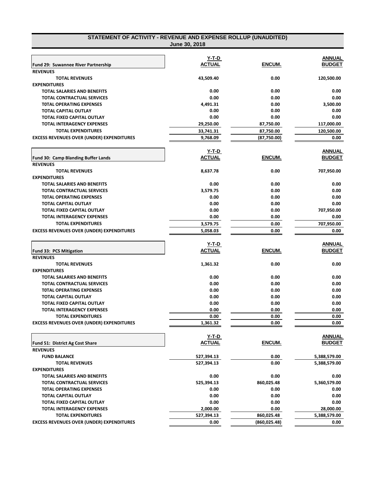| STATEMENT OF ACTIVITY - REVENUE AND EXPENSE ROLLUP (UNAUDITED)   | June 30, 2018                 |               |                                |
|------------------------------------------------------------------|-------------------------------|---------------|--------------------------------|
|                                                                  |                               |               |                                |
|                                                                  | Y-T-D                         |               | <b>ANNUAL</b>                  |
| Fund 29: Suwannee River Partnership                              | <b>ACTUAL</b>                 | ENCUM.        | <b>BUDGET</b>                  |
| <b>REVENUES</b>                                                  |                               |               |                                |
| <b>TOTAL REVENUES</b>                                            | 43,509.40                     | 0.00          | 120,500.00                     |
| <b>EXPENDITURES</b>                                              |                               |               |                                |
| <b>TOTAL SALARIES AND BENEFITS</b>                               | 0.00                          | 0.00          | 0.00                           |
| <b>TOTAL CONTRACTUAL SERVICES</b>                                | 0.00                          | 0.00          | 0.00                           |
| <b>TOTAL OPERATING EXPENSES</b>                                  | 4,491.31                      | 0.00          | 3,500.00                       |
| <b>TOTAL CAPITAL OUTLAY</b>                                      | 0.00                          | 0.00          | 0.00                           |
| <b>TOTAL FIXED CAPITAL OUTLAY</b>                                | 0.00                          | 0.00          | 0.00                           |
| <b>TOTAL INTERAGENCY EXPENSES</b>                                | 29,250.00                     | 87,750.00     | 117,000.00                     |
| <b>TOTAL EXPENDITURES</b>                                        | 33,741.31                     | 87,750.00     | 120,500.00                     |
| <b>EXCESS REVENUES OVER (UNDER) EXPENDITURES</b>                 | 9,768.09                      | (87,750.00)   | 0.00                           |
|                                                                  | Y-T-D                         |               | <b>ANNUAL</b>                  |
| Fund 30: Camp Blanding Buffer Lands                              | <b>ACTUAL</b>                 | ENCUM.        | <b>BUDGET</b>                  |
| <b>REVENUES</b>                                                  |                               |               |                                |
| <b>TOTAL REVENUES</b>                                            | 8,637.78                      | 0.00          | 707,950.00                     |
| <b>EXPENDITURES</b>                                              |                               |               |                                |
| <b>TOTAL SALARIES AND BENEFITS</b>                               | 0.00                          | 0.00          | 0.00                           |
| <b>TOTAL CONTRACTUAL SERVICES</b>                                | 3,579.75                      | 0.00          | 0.00                           |
| <b>TOTAL OPERATING EXPENSES</b>                                  | 0.00                          | 0.00          | 0.00                           |
| <b>TOTAL CAPITAL OUTLAY</b>                                      | 0.00                          | 0.00          | 0.00                           |
| <b>TOTAL FIXED CAPITAL OUTLAY</b>                                | 0.00                          | 0.00          | 707,950.00                     |
| <b>TOTAL INTERAGENCY EXPENSES</b>                                | 0.00                          | 0.00          | 0.00                           |
| <b>TOTAL EXPENDITURES</b>                                        | 3,579.75                      | 0.00          | 707,950.00                     |
| <b>EXCESS REVENUES OVER (UNDER) EXPENDITURES</b>                 | 5,058.03                      | 0.00          | 0.00                           |
|                                                                  | <b>Y-T-D</b>                  |               |                                |
|                                                                  | <b>ACTUAL</b>                 | ENCUM.        | <b>ANNUAL</b><br><b>BUDGET</b> |
| <b>Fund 33: PCS Mitigation</b><br><b>REVENUES</b>                |                               |               |                                |
| <b>TOTAL REVENUES</b>                                            | 1,361.32                      | 0.00          | 0.00                           |
| <b>EXPENDITURES</b>                                              |                               |               |                                |
| <b>TOTAL SALARIES AND BENEFITS</b>                               | 0.00                          | 0.00          | 0.00                           |
|                                                                  |                               |               |                                |
| <b>TOTAL CONTRACTUAL SERVICES</b>                                | 0.00<br>0.00                  | 0.00<br>0.00  | 0.00<br>0.00                   |
| <b>TOTAL OPERATING EXPENSES</b>                                  |                               |               |                                |
| <b>TOTAL CAPITAL OUTLAY</b><br><b>TOTAL FIXED CAPITAL OUTLAY</b> | 0.00<br>0.00                  | 0.00<br>0.00  | 0.00<br>0.00                   |
| <b>TOTAL INTERAGENCY EXPENSES</b>                                |                               |               |                                |
| <b>TOTAL EXPENDITURES</b>                                        | 0.00<br>0.00                  | 0.00<br>0.00  | 0.00<br>0.00                   |
| <b>EXCESS REVENUES OVER (UNDER) EXPENDITURES</b>                 | 1,361.32                      | 0.00          | 0.00                           |
|                                                                  |                               |               |                                |
|                                                                  | <u>Y-T-D</u><br><b>ACTUAL</b> |               | <u>ANNUAL</u><br><b>BUDGET</b> |
| <b>Fund 51: District Ag Cost Share</b>                           |                               | ENCUM.        |                                |
| <b>REVENUES</b>                                                  |                               |               |                                |
| <b>FUND BALANCE</b>                                              | 527,394.13                    | 0.00          | 5,388,579.00                   |
| <b>TOTAL REVENUES</b>                                            | 527,394.13                    | 0.00          | 5,388,579.00                   |
| <b>EXPENDITURES</b>                                              |                               |               |                                |
| TOTAL SALARIES AND BENEFITS                                      | 0.00                          | 0.00          | 0.00                           |
| <b>TOTAL CONTRACTUAL SERVICES</b>                                | 525,394.13                    | 860,025.48    | 5,360,579.00                   |
| <b>TOTAL OPERATING EXPENSES</b>                                  | 0.00                          | 0.00          | 0.00                           |
| <b>TOTAL CAPITAL OUTLAY</b>                                      | 0.00                          | 0.00          | 0.00                           |
| TOTAL FIXED CAPITAL OUTLAY                                       | 0.00                          | 0.00          | 0.00                           |
| <b>TOTAL INTERAGENCY EXPENSES</b>                                | 2,000.00                      | 0.00          | 28,000.00                      |
| <b>TOTAL EXPENDITURES</b>                                        | 527,394.13                    | 860,025.48    | 5,388,579.00                   |
| <b>EXCESS REVENUES OVER (UNDER) EXPENDITURES</b>                 | 0.00                          | (860, 025.48) | 0.00                           |